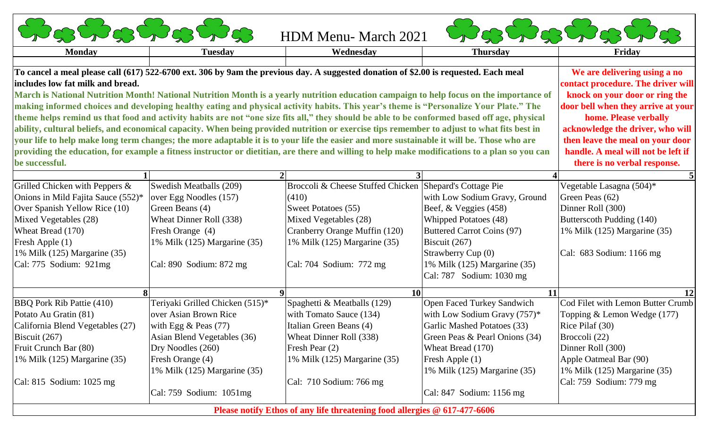|  | いっこうこうこうこ |
|--|-----------|
|  |           |

HDM Menu- March 2021



**Please notify Ethos of any life threatening food allergies @ 617-477-6606**